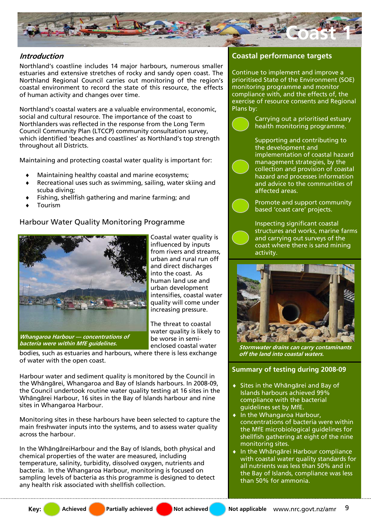

## **Introduction**

Northland's coastline includes 14 major harbours, numerous smaller estuaries and extensive stretches of rocky and sandy open coast. The Northland Regional Council carries out monitoring of the region's coastal environment to record the state of this resource, the effects of human activity and changes over time.

Northland's coastal waters are a valuable environmental, economic, social and cultural resource. The importance of the coast to Northlanders was reflected in the response from the Long Term Council Community Plan (LTCCP) community consultation survey, which identified 'beaches and coastlines' as Northland's top strength throughout all Districts.

Maintaining and protecting coastal water quality is important for:

- Maintaining healthy coastal and marine ecosystems;
- Recreational uses such as swimming, sailing, water skiing and scuba diving;
- Fishing, shellfish gathering and marine farming; and
- **Tourism**

# Harbour Water Quality Monitoring Programme



**Whangaroa Harbour — concentrations of bacteria were within MfE guidelines.** 

Coastal water quality is influenced by inputs from rivers and streams, urban and rural run off and direct discharges into the coast. As human land use and urban development intensifies, coastal water quality will come under increasing pressure.

The threat to coastal water quality is likely to be worse in semienclosed coastal water

bodies, such as estuaries and harbours, where there is less exchange of water with the open coast.

Harbour water and sediment quality is monitored by the Council in the Whāngārei, Whangaroa and Bay of Islands harbours. In 2008-09, the Council undertook routine water quality testing at 16 sites in the Whāngārei Harbour, 16 sites in the Bay of Islands harbour and nine sites in Whangaroa Harbour.

Monitoring sites in these harbours have been selected to capture the main freshwater inputs into the systems, and to assess water quality across the harbour.

In the WhāngāreiHarbour and the Bay of Islands, both physical and chemical properties of the water are measured, including temperature, salinity, turbidity, dissolved oxygen, nutrients and bacteria. In the Whangaroa Harbour, monitoring is focused on sampling levels of bacteria as this programme is designed to detect any health risk associated with shellfish collection.

# **Coastal performance targets**

Continue to implement and improve a prioritised State of the Environment (SOE) monitoring programme and monitor compliance with, and the effects of, the exercise of resource consents and Regional Plans by:

> Carrying out a prioritised estuary health monitoring programme.

Supporting and contributing to the development and implementation of coastal hazard management strategies, by the collection and provision of coastal hazard and processes information and advice to the communities of affected areas.

Promote and support community based 'coast care' projects.

Inspecting significant coastal structures and works, marine farms and carrying out surveys of the coast where there is sand mining activity.



**Stormwater drains can carry contaminants off the land into coastal waters.** 

# **Summary of testing during 2008-09**

- ♦ Sites in the Whāngārei and Bay of Islands harbours achieved 99% compliance with the bacterial guidelines set by MfE.
- ♦ In the Whangaroa Harbour, concentrations of bacteria were within the MfE microbiological guidelines for shellfish gathering at eight of the nine monitoring sites.
- ♦ In the Whāngārei Harbour compliance with coastal water quality standards for all nutrients was less than 50% and in the Bay of Islands, compliance was less than 50% for ammonia.